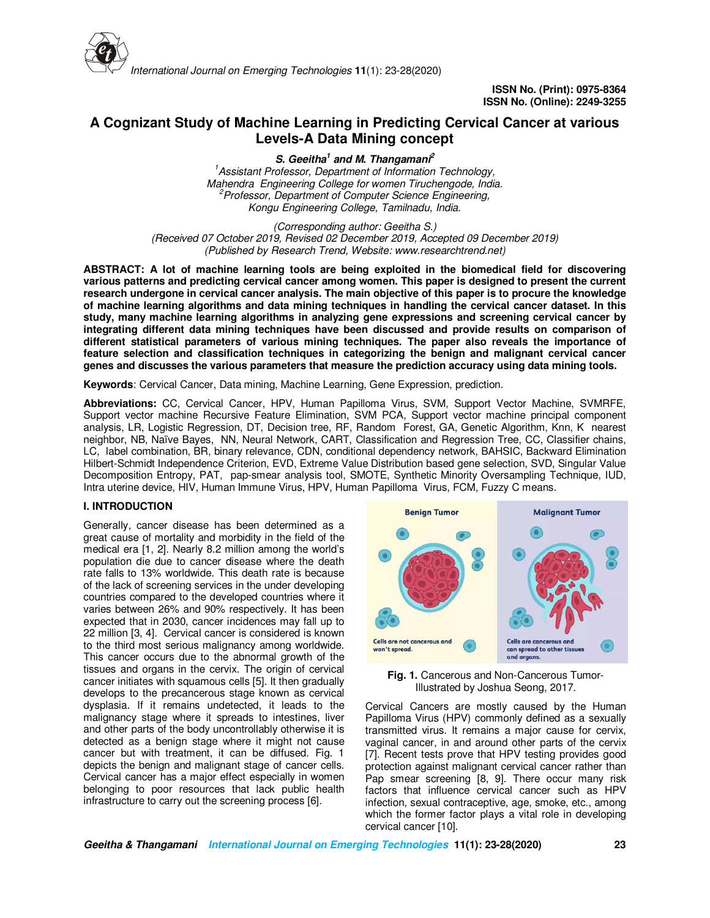

# **A Cognizant Study of Machine Learning in Predicting Cervical Cancer at various Levels-A Data Mining concept**

**S. Geeitha<sup>1</sup> and M. Thangamani<sup>2</sup>** *<sup>1</sup>Assistant Professor, Department of Information Technology, Mahendra Engineering College for women Tiruchengode, India. <sup>2</sup>Professor, Department of Computer Science Engineering, Kongu Engineering College, Tamilnadu, India.*

*(Corresponding author: Geeitha S.) (Received 07 October 2019, Revised 02 December 2019, Accepted 09 December 2019) (Published by Research Trend, Website: www.researchtrend.net)* 

**ABSTRACT: A lot of machine learning tools are being exploited in the biomedical field for discovering various patterns and predicting cervical cancer among women. This paper is designed to present the current research undergone in cervical cancer analysis. The main objective of this paper is to procure the knowledge of machine learning algorithms and data mining techniques in handling the cervical cancer dataset. In this study, many machine learning algorithms in analyzing gene expressions and screening cervical cancer by integrating different data mining techniques have been discussed and provide results on comparison of different statistical parameters of various mining techniques. The paper also reveals the importance of feature selection and classification techniques in categorizing the benign and malignant cervical cancer genes and discusses the various parameters that measure the prediction accuracy using data mining tools.** 

**Keywords**: Cervical Cancer, Data mining, Machine Learning, Gene Expression, prediction.

**Abbreviations:** CC, Cervical Cancer, HPV, Human Papilloma Virus, SVM, Support Vector Machine, SVMRFE, Support vector machine Recursive Feature Elimination, SVM PCA, Support vector machine principal component analysis, LR, Logistic Regression, DT, Decision tree, RF, Random Forest, GA, Genetic Algorithm, Knn, K nearest neighbor, NB, Naïve Bayes, NN, Neural Network, CART, Classification and Regression Tree, CC, Classifier chains, LC, label combination, BR, binary relevance, CDN, conditional dependency network, BAHSIC, Backward Elimination Hilbert-Schmidt Independence Criterion, EVD, Extreme Value Distribution based gene selection, SVD, Singular Value Decomposition Entropy, PAT, pap-smear analysis tool, SMOTE, Synthetic Minority Oversampling Technique, IUD, Intra uterine device, HIV, Human Immune Virus, HPV, Human Papilloma Virus, FCM, Fuzzy C means.

### **I. INTRODUCTION**

Generally, cancer disease has been determined as a great cause of mortality and morbidity in the field of the medical era [1, 2]. Nearly 8.2 million among the world's population die due to cancer disease where the death rate falls to 13% worldwide. This death rate is because of the lack of screening services in the under developing countries compared to the developed countries where it varies between 26% and 90% respectively. It has been expected that in 2030, cancer incidences may fall up to 22 million [3, 4]. Cervical cancer is considered is known to the third most serious malignancy among worldwide. This cancer occurs due to the abnormal growth of the tissues and organs in the cervix. The origin of cervical cancer initiates with squamous cells [5]. It then gradually develops to the precancerous stage known as cervical dysplasia. If it remains undetected, it leads to the malignancy stage where it spreads to intestines, liver and other parts of the body uncontrollably otherwise it is detected as a benign stage where it might not cause cancer but with treatment, it can be diffused. Fig. 1 depicts the benign and malignant stage of cancer cells. Cervical cancer has a major effect especially in women belonging to poor resources that lack public health infrastructure to carry out the screening process [6].



**Fig. 1.** Cancerous and Non-Cancerous Tumor-Illustrated by Joshua Seong, 2017.

Cervical Cancers are mostly caused by the Human Papilloma Virus (HPV) commonly defined as a sexually transmitted virus. It remains a major cause for cervix, vaginal cancer, in and around other parts of the cervix [7]. Recent tests prove that HPV testing provides good protection against malignant cervical cancer rather than Pap smear screening [8, 9]. There occur many risk factors that influence cervical cancer such as HPV infection, sexual contraceptive, age, smoke, etc., among which the former factor plays a vital role in developing cervical cancer [10].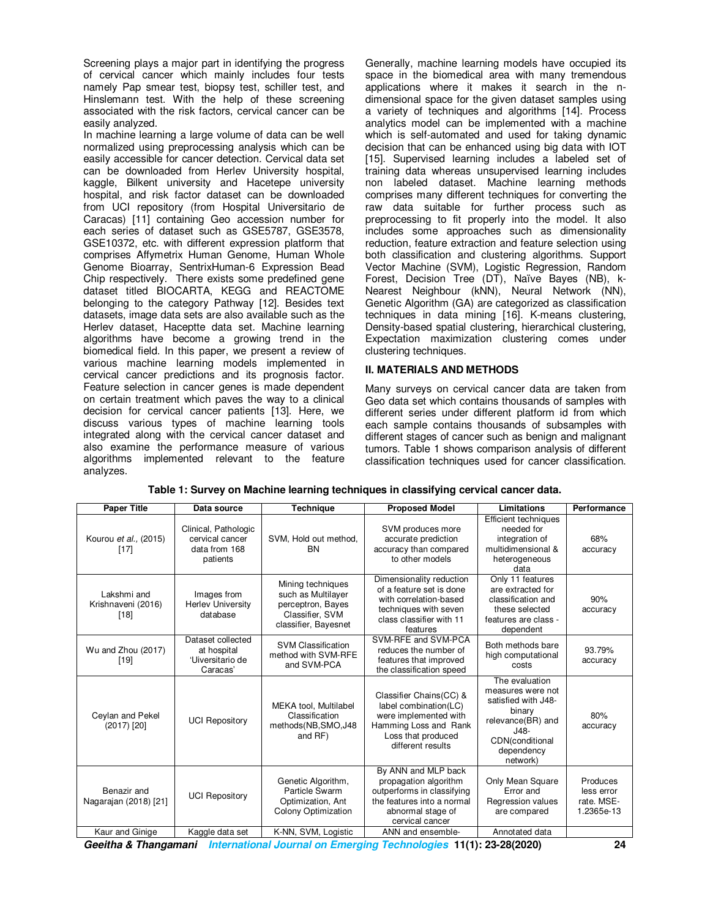Screening plays a major part in identifying the progress of cervical cancer which mainly includes four tests namely Pap smear test, biopsy test, schiller test, and Hinslemann test. With the help of these screening associated with the risk factors, cervical cancer can be easily analyzed.

In machine learning a large volume of data can be well normalized using preprocessing analysis which can be easily accessible for cancer detection. Cervical data set can be downloaded from Herlev University hospital, kaggle, Bilkent university and Hacetepe university hospital, and risk factor dataset can be downloaded from UCI repository (from Hospital Universitario de Caracas) [11] containing Geo accession number for each series of dataset such as GSE5787, GSE3578, GSE10372, etc. with different expression platform that comprises Affymetrix Human Genome, Human Whole Genome Bioarray, SentrixHuman-6 Expression Bead Chip respectively. There exists some predefined gene dataset titled BIOCARTA, KEGG and REACTOME belonging to the category Pathway [12]. Besides text datasets, image data sets are also available such as the Herlev dataset, Haceptte data set. Machine learning algorithms have become a growing trend in the biomedical field. In this paper, we present a review of various machine learning models implemented in cervical cancer predictions and its prognosis factor. Feature selection in cancer genes is made dependent on certain treatment which paves the way to a clinical decision for cervical cancer patients [13]. Here, we discuss various types of machine learning tools integrated along with the cervical cancer dataset and also examine the performance measure of various algorithms implemented relevant to the feature analyzes.

Generally, machine learning models have occupied its space in the biomedical area with many tremendous applications where it makes it search in the ndimensional space for the given dataset samples using a variety of techniques and algorithms [14]. Process analytics model can be implemented with a machine which is self-automated and used for taking dynamic decision that can be enhanced using big data with IOT [15]. Supervised learning includes a labeled set of training data whereas unsupervised learning includes non labeled dataset. Machine learning methods comprises many different techniques for converting the raw data suitable for further process such as preprocessing to fit properly into the model. It also includes some approaches such as dimensionality reduction, feature extraction and feature selection using both classification and clustering algorithms. Support Vector Machine (SVM), Logistic Regression, Random Forest, Decision Tree (DT), Naïve Bayes (NB), k-Nearest Neighbour (kNN), Neural Network (NN), Genetic Algorithm (GA) are categorized as classification techniques in data mining [16]. K-means clustering, Density-based spatial clustering, hierarchical clustering, Expectation maximization clustering comes under clustering techniques.

# **II. MATERIALS AND METHODS**

Many surveys on cervical cancer data are taken from Geo data set which contains thousands of samples with different series under different platform id from which each sample contains thousands of subsamples with different stages of cancer such as benign and malignant tumors. Table 1 shows comparison analysis of different classification techniques used for cancer classification.

| <b>Paper Title</b>                          | Data source                                                          | <b>Technique</b>                                                                                        | <b>Proposed Model</b>                                                                                                                            | Limitations                                                                                                                                      | Performance                                        |
|---------------------------------------------|----------------------------------------------------------------------|---------------------------------------------------------------------------------------------------------|--------------------------------------------------------------------------------------------------------------------------------------------------|--------------------------------------------------------------------------------------------------------------------------------------------------|----------------------------------------------------|
| Kourou et al., (2015)<br>$[17]$             | Clinical, Pathologic<br>cervical cancer<br>data from 168<br>patients | SVM, Hold out method,<br><b>BN</b>                                                                      | SVM produces more<br>accurate prediction<br>accuracy than compared<br>to other models                                                            | Efficient techniques<br>needed for<br>integration of<br>multidimensional &<br>heterogeneous<br>data                                              | 68%<br>accuracy                                    |
| Lakshmi and<br>Krishnaveni (2016)<br>$[18]$ | Images from<br><b>Herlev University</b><br>database                  | Mining techniques<br>such as Multilayer<br>perceptron, Bayes<br>Classifier, SVM<br>classifier, Bayesnet | Dimensionality reduction<br>of a feature set is done<br>with correlation-based<br>techniques with seven<br>class classifier with 11<br>features  | Only 11 features<br>are extracted for<br>classification and<br>these selected<br>features are class -<br>dependent                               | 90%<br>accuracy                                    |
| Wu and Zhou (2017)<br>$[19]$                | Dataset collected<br>at hospital<br>'Uiversitario de<br>Caracas'     | <b>SVM Classification</b><br>method with SVM-RFE<br>and SVM-PCA                                         | SVM-RFE and SVM-PCA<br>reduces the number of<br>features that improved<br>the classification speed                                               | Both methods bare<br>high computational<br>costs                                                                                                 | 93.79%<br>accuracy                                 |
| Ceylan and Pekel<br>$(2017)$ [20]           | <b>UCI Repository</b>                                                | MEKA tool, Multilabel<br>Classification<br>methods(NB,SMO,J48<br>and RF)                                | Classifier Chains(CC) &<br>label combination(LC)<br>were implemented with<br>Hamming Loss and Rank<br>Loss that produced<br>different results    | The evaluation<br>measures were not<br>satisfied with J48-<br>binary<br>relevance(BR) and<br>$J48-$<br>CDN(conditional<br>dependency<br>network) | 80%<br>accuracy                                    |
| Benazir and<br>Nagarajan (2018) [21]        | <b>UCI Repository</b>                                                | Genetic Algorithm,<br>Particle Swarm<br>Optimization, Ant<br><b>Colony Optimization</b>                 | By ANN and MLP back<br>propagation algorithm<br>outperforms in classifying<br>the features into a normal<br>abnormal stage of<br>cervical cancer | Only Mean Square<br>Error and<br>Regression values<br>are compared                                                                               | Produces<br>less error<br>rate. MSE-<br>1.2365e-13 |
| Kaur and Ginige                             | Kaggle data set                                                      | K-NN, SVM, Logistic                                                                                     | ANN and ensemble-                                                                                                                                | Annotated data                                                                                                                                   |                                                    |

**Table 1: Survey on Machine learning techniques in classifying cervical cancer data.** 

**Geeitha & Thangamani International Journal on Emerging Technologies 11(1): 23-28(2020) 24**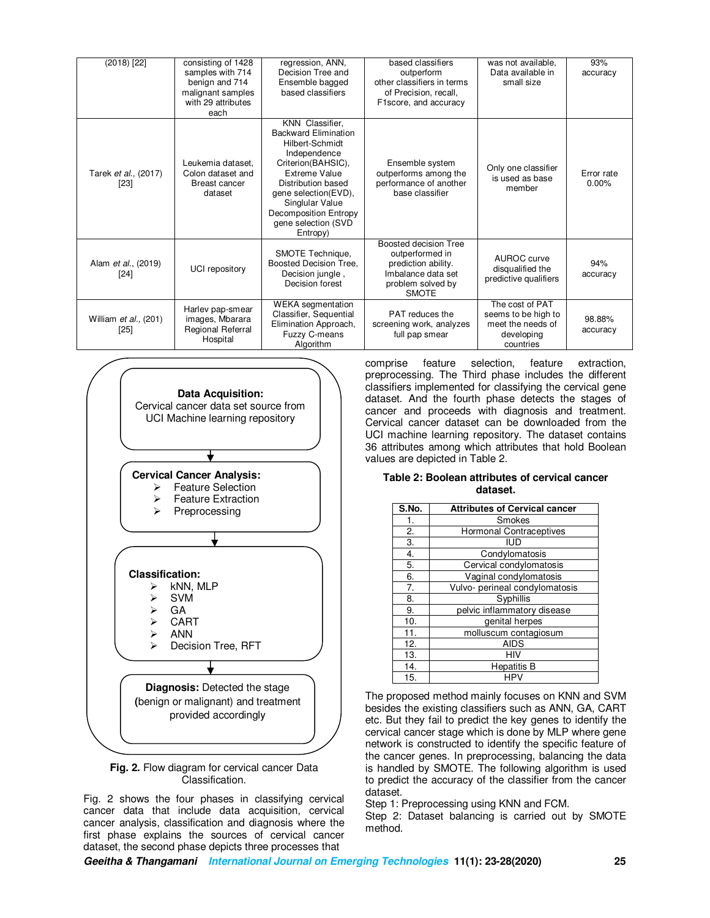| $(2018)$ [22]                       | consisting of 1428<br>samples with 714<br>benign and 714<br>malignant samples<br>with 29 attributes<br>each | regression, ANN,<br>Decision Tree and<br>Ensemble bagged<br>based classifiers                                                                                                                                                                         | based classifiers<br>outperform<br>other classifiers in terms<br>of Precision, recall,<br>F1score, and accuracy            | was not available,<br>Data available in<br>small size                                  | 93%<br>accuracy     |
|-------------------------------------|-------------------------------------------------------------------------------------------------------------|-------------------------------------------------------------------------------------------------------------------------------------------------------------------------------------------------------------------------------------------------------|----------------------------------------------------------------------------------------------------------------------------|----------------------------------------------------------------------------------------|---------------------|
| Tarek et al., (2017)<br>[23]        | Leukemia dataset.<br>Colon dataset and<br>Breast cancer<br>dataset                                          | KNN Classifier,<br><b>Backward Elimination</b><br>Hilbert-Schmidt<br>Independence<br>Criterion(BAHSIC),<br>Extreme Value<br>Distribution based<br>gene selection(EVD),<br>Singlular Value<br>Decomposition Entropy<br>gene selection (SVD<br>Entropy) | Ensemble system<br>outperforms among the<br>performance of another<br>base classifier                                      | Only one classifier<br>is used as base<br>member                                       | Error rate<br>0.00% |
| Alam <i>et al.</i> , (2019)<br>[24] | UCI repository                                                                                              | SMOTE Technique,<br>Boosted Decision Tree,<br>Decision jungle,<br>Decision forest                                                                                                                                                                     | Boosted decision Tree<br>outperformed in<br>prediction ability.<br>Imbalance data set<br>problem solved by<br><b>SMOTE</b> | AUROC curve<br>disqualified the<br>predictive qualifiers                               | 94%<br>accuracy     |
| William et al., (201)<br>$[25]$     | Harlev pap-smear<br>images, Mbarara<br>Regional Referral<br>Hospital                                        | <b>WEKA</b> segmentation<br>Classifier, Sequential<br>Elimination Approach,<br>Fuzzy C-means<br>Algorithm                                                                                                                                             | <b>PAT</b> reduces the<br>screening work, analyzes<br>full pap smear                                                       | The cost of PAT<br>seems to be high to<br>meet the needs of<br>developing<br>countries | 98.88%<br>accuracy  |



**Fig. 2.** Flow diagram for cervical cancer Data Classification.

Fig. 2 shows the four phases in classifying cervical cancer data that include data acquisition, cervical cancer analysis, classification and diagnosis where the first phase explains the sources of cervical cancer dataset, the second phase depicts three processes that

comprise feature selection, feature extraction, preprocessing. The Third phase includes the different classifiers implemented for classifying the cervical gene dataset. And the fourth phase detects the stages of cancer and proceeds with diagnosis and treatment. Cervical cancer dataset can be downloaded from the UCI machine learning repository. The dataset contains 36 attributes among which attributes that hold Boolean values are depicted in Table 2.

### **Table 2: Boolean attributes of cervical cancer dataset.**

| S.No. | <b>Attributes of Cervical cancer</b> |
|-------|--------------------------------------|
| 1.    | Smokes                               |
| 2.    | <b>Hormonal Contraceptives</b>       |
| 3.    | <b>IUD</b>                           |
| 4.    | Condylomatosis                       |
| 5.    | Cervical condylomatosis              |
| 6.    | Vaginal condylomatosis               |
| 7.    | Vulvo- perineal condylomatosis       |
| 8.    | Syphillis                            |
| 9.    | pelvic inflammatory disease          |
| 10.   | genital herpes                       |
| 11.   | molluscum contagiosum                |
| 12.   | <b>AIDS</b>                          |
| 13.   | HIV                                  |
| 14.   | <b>Hepatitis B</b>                   |
| 15.   |                                      |

The proposed method mainly focuses on KNN and SVM besides the existing classifiers such as ANN, GA, CART etc. But they fail to predict the key genes to identify the cervical cancer stage which is done by MLP where gene network is constructed to identify the specific feature of the cancer genes. In preprocessing, balancing the data is handled by SMOTE. The following algorithm is used to predict the accuracy of the classifier from the cancer dataset.

Step 1: Preprocessing using KNN and FCM.

Step 2: Dataset balancing is carried out by SMOTE method.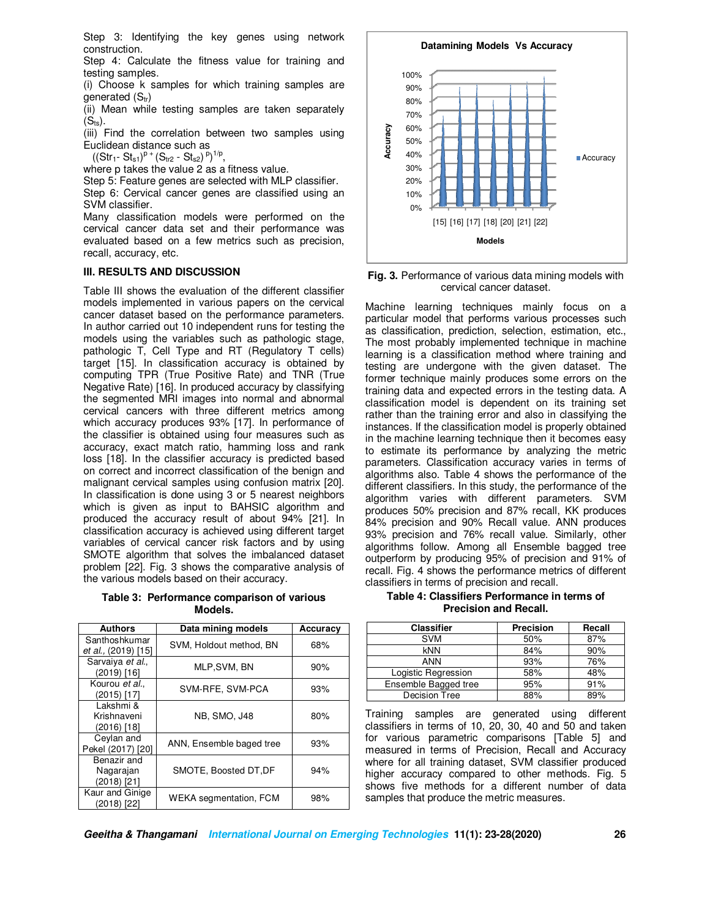Step 3: Identifying the key genes using network construction.

Step 4: Calculate the fitness value for training and testing samples.

(i) Choose k samples for which training samples are generated  $(S_{tr})$ 

(ii) Mean while testing samples are taken separately  $(S_{ts})$ .

(iii) Find the correlation between two samples using Euclidean distance such as

 $((Str_1 - St_{s1})^p + (S_{tr2} - St_{s2})^p)^{1/p},$ 

where p takes the value 2 as a fitness value.

Step 5: Feature genes are selected with MLP classifier.

Step 6: Cervical cancer genes are classified using an SVM classifier.

Many classification models were performed on the cervical cancer data set and their performance was evaluated based on a few metrics such as precision, recall, accuracy, etc.

#### **III. RESULTS AND DISCUSSION**

Table III shows the evaluation of the different classifier models implemented in various papers on the cervical cancer dataset based on the performance parameters. In author carried out 10 independent runs for testing the models using the variables such as pathologic stage, pathologic T, Cell Type and RT (Regulatory T cells) target [15]. In classification accuracy is obtained by computing TPR (True Positive Rate) and TNR (True Negative Rate) [16]. In produced accuracy by classifying the segmented MRI images into normal and abnormal cervical cancers with three different metrics among which accuracy produces 93% [17]. In performance of the classifier is obtained using four measures such as accuracy, exact match ratio, hamming loss and rank loss [18]. In the classifier accuracy is predicted based on correct and incorrect classification of the benign and malignant cervical samples using confusion matrix [20]. In classification is done using 3 or 5 nearest neighbors which is given as input to BAHSIC algorithm and produced the accuracy result of about 94% [21]. In classification accuracy is achieved using different target variables of cervical cancer risk factors and by using SMOTE algorithm that solves the imbalanced dataset problem [22]. Fig. 3 shows the comparative analysis of the various models based on their accuracy.

**Table 3: Performance comparison of various Models.**

| <b>Authors</b>                          | Data mining models            | Accuracv |
|-----------------------------------------|-------------------------------|----------|
| Santhoshkumar<br>et al., (2019) [15]    | SVM, Holdout method, BN       | 68%      |
| Sarvaiya et al.,<br>(2019) [16]         | MLP.SVM, BN                   | 90%      |
| Kourou et al.,<br>(2015) [17]           | SVM-RFE, SVM-PCA              | 93%      |
| Lakshmi &<br>Krishnaveni<br>(2016) [18] | <b>NB. SMO. J48</b>           | 80%      |
| Ceylan and<br>Pekel (2017) [20]         | ANN, Ensemble baged tree      | 93%      |
| Benazir and<br>Nagarajan<br>(2018) [21] | SMOTE, Boosted DT, DF         | 94%      |
| Kaur and Ginige<br>(2018) [22]          | <b>WEKA</b> segmentation, FCM | 98%      |

**Datamining Models Vs Accuracy**



**Fig. 3.** Performance of various data mining models with cervical cancer dataset.

Machine learning techniques mainly focus on a particular model that performs various processes such as classification, prediction, selection, estimation, etc., The most probably implemented technique in machine learning is a classification method where training and testing are undergone with the given dataset. The former technique mainly produces some errors on the training data and expected errors in the testing data. A classification model is dependent on its training set rather than the training error and also in classifying the instances. If the classification model is properly obtained in the machine learning technique then it becomes easy to estimate its performance by analyzing the metric parameters. Classification accuracy varies in terms of algorithms also. Table 4 shows the performance of the different classifiers. In this study, the performance of the algorithm varies with different parameters. SVM produces 50% precision and 87% recall, KK produces 84% precision and 90% Recall value. ANN produces 93% precision and 76% recall value. Similarly, other algorithms follow. Among all Ensemble bagged tree outperform by producing 95% of precision and 91% of recall. Fig. 4 shows the performance metrics of different classifiers in terms of precision and recall.

**Table 4: Classifiers Performance in terms of Precision and Recall.** 

| Classifier           | <b>Precision</b> | Recall |
|----------------------|------------------|--------|
| <b>SVM</b>           | 50%              | 87%    |
| kNN                  | 84%              | 90%    |
| ANN                  | 93%              | 76%    |
| Logistic Regression  | 58%              | 48%    |
| Ensemble Bagged tree | 95%              | 91%    |
| <b>Decision Tree</b> | 88%              | 89%    |

Training samples are generated using different classifiers in terms of 10, 20, 30, 40 and 50 and taken for various parametric comparisons [Table 5] and measured in terms of Precision, Recall and Accuracy where for all training dataset, SVM classifier produced higher accuracy compared to other methods. Fig. 5 shows five methods for a different number of data samples that produce the metric measures.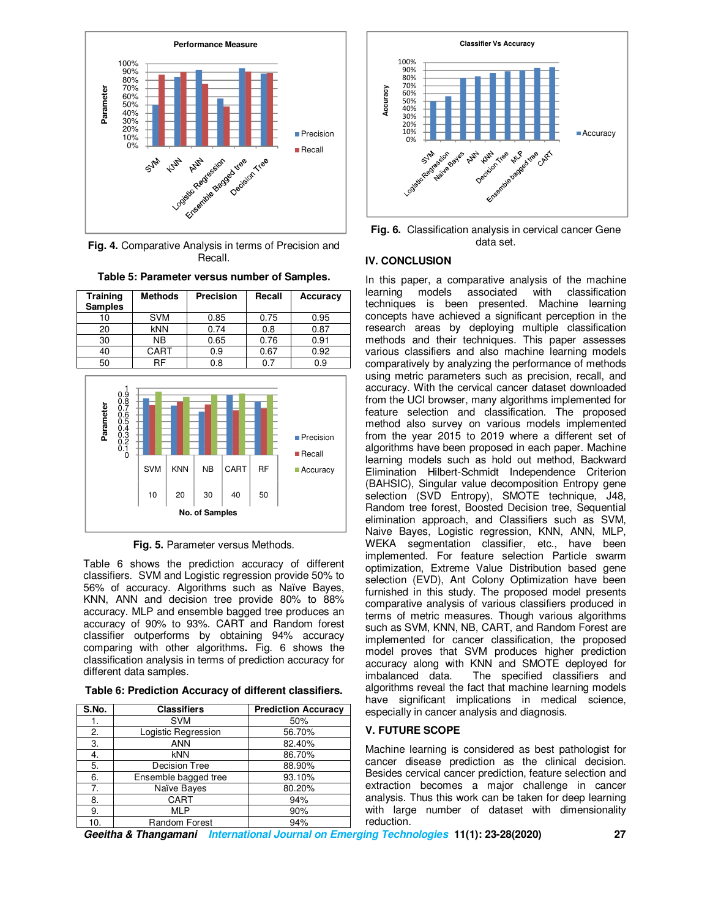

**Fig. 4.** Comparative Analysis in terms of Precision and Recall.

**Table 5: Parameter versus number of Samples.** 

| <b>Training</b><br><b>Samples</b> | <b>Methods</b> | <b>Precision</b> | Recall | Accuracy |
|-----------------------------------|----------------|------------------|--------|----------|
| 10                                | <b>SVM</b>     | 0.85             | 0.75   | 0.95     |
| 20                                | <b>kNN</b>     | 0.74             | 0.8    | 0.87     |
| 30                                | NΒ             | 0.65             | 0.76   | 0.91     |
| 40                                | CART           | 0.9              | 0.67   | 0.92     |
| 50                                |                | 0.8              | 0.7    | 0.9      |



**Fig. 5.** Parameter versus Methods.

Table 6 shows the prediction accuracy of different classifiers. SVM and Logistic regression provide 50% to 56% of accuracy. Algorithms such as Naïve Bayes, KNN, ANN and decision tree provide 80% to 88% accuracy. MLP and ensemble bagged tree produces an accuracy of 90% to 93%. CART and Random forest classifier outperforms by obtaining 94% accuracy comparing with other algorithms**.** Fig. 6 shows the classification analysis in terms of prediction accuracy for different data samples.

| Table 6: Prediction Accuracy of different classifiers. |  |  |  |
|--------------------------------------------------------|--|--|--|
|--------------------------------------------------------|--|--|--|

| S.No. | <b>Classifiers</b>   | <b>Prediction Accuracy</b> |
|-------|----------------------|----------------------------|
|       | <b>SVM</b>           | 50%                        |
| 2.    | Logistic Regression  | 56.70%                     |
| 3.    | <b>ANN</b>           | 82.40%                     |
| 4.    | <b>kNN</b>           | 86.70%                     |
| 5.    | <b>Decision Tree</b> | 88.90%                     |
| 6.    | Ensemble bagged tree | 93.10%                     |
| 7.    | Naïve Bayes          | 80.20%                     |
| 8.    | CART                 | 94%                        |
| 9.    | <b>MLP</b>           | 90%                        |
| 10    | Random Forest        | 94%                        |



**Fig. 6.** Classification analysis in cervical cancer Gene data set.

# **IV. CONCLUSION**

In this paper, a comparative analysis of the machine learning models associated with classification techniques is been presented. Machine learning concepts have achieved a significant perception in the research areas by deploying multiple classification methods and their techniques. This paper assesses various classifiers and also machine learning models comparatively by analyzing the performance of methods using metric parameters such as precision, recall, and accuracy. With the cervical cancer dataset downloaded from the UCI browser, many algorithms implemented for feature selection and classification. The proposed method also survey on various models implemented from the year 2015 to 2019 where a different set of algorithms have been proposed in each paper. Machine learning models such as hold out method, Backward Elimination Hilbert-Schmidt Independence Criterion (BAHSIC), Singular value decomposition Entropy gene selection (SVD Entropy), SMOTE technique, J48, Random tree forest, Boosted Decision tree, Sequential elimination approach, and Classifiers such as SVM, Naive Bayes, Logistic regression, KNN, ANN, MLP, WEKA segmentation classifier, etc., have been implemented. For feature selection Particle swarm optimization, Extreme Value Distribution based gene selection (EVD), Ant Colony Optimization have been furnished in this study. The proposed model presents comparative analysis of various classifiers produced in terms of metric measures. Though various algorithms such as SVM, KNN, NB, CART, and Random Forest are implemented for cancer classification, the proposed model proves that SVM produces higher prediction accuracy along with KNN and SMOTE deployed for imbalanced data. The specified classifiers and algorithms reveal the fact that machine learning models have significant implications in medical science, especially in cancer analysis and diagnosis.

# **V. FUTURE SCOPE**

Machine learning is considered as best pathologist for cancer disease prediction as the clinical decision. Besides cervical cancer prediction, feature selection and extraction becomes a major challenge in cancer analysis. Thus this work can be taken for deep learning with large number of dataset with dimensionality reduction.

**Geeitha & Thangamani International Journal on Emerging Technologies 11(1): 23-28(2020) 27**